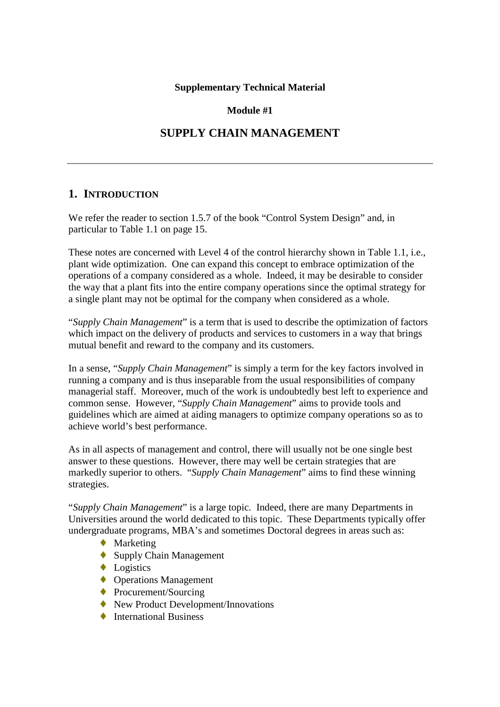## **Supplementary Technical Material**

## **Module #1**

## **SUPPLY CHAIN MANAGEMENT**

## **1. INTRODUCTION**

We refer the reader to section 1.5.7 of the book "Control System Design" and, in particular to Table 1.1 on page 15.

These notes are concerned with Level 4 of the control hierarchy shown in Table 1.1, i.e., plant wide optimization. One can expand this concept to embrace optimization of the operations of a company considered as a whole. Indeed, it may be desirable to consider the way that a plant fits into the entire company operations since the optimal strategy for a single plant may not be optimal for the company when considered as a whole.

"*Supply Chain Management*" is a term that is used to describe the optimization of factors which impact on the delivery of products and services to customers in a way that brings mutual benefit and reward to the company and its customers.

In a sense, "*Supply Chain Management*" is simply a term for the key factors involved in running a company and is thus inseparable from the usual responsibilities of company managerial staff. Moreover, much of the work is undoubtedly best left to experience and common sense. However, "*Supply Chain Management*" aims to provide tools and guidelines which are aimed at aiding managers to optimize company operations so as to achieve world's best performance.

As in all aspects of management and control, there will usually not be one single best answer to these questions. However, there may well be certain strategies that are markedly superior to others. "*Supply Chain Management*" aims to find these winning strategies.

"*Supply Chain Management*" is a large topic. Indeed, there are many Departments in Universities around the world dedicated to this topic. These Departments typically offer undergraduate programs, MBA's and sometimes Doctoral degrees in areas such as:

- ◆ Marketing
- $\leftrightarrow$  Supply Chain Management
- ◆ Logistics
- ◆ Operations Management
- ◆ Procurement/Sourcing
- ♦ New Product Development/Innovations
- ◆ International Business